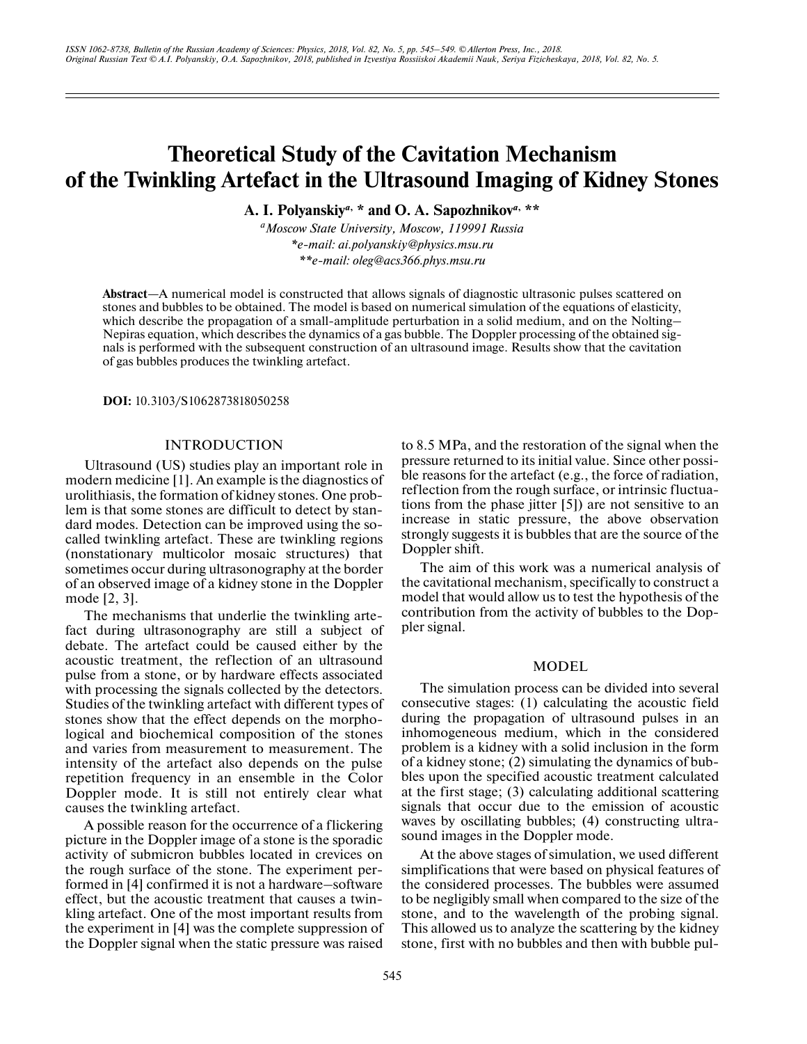# **Theoretical Study of the Cavitation Mechanism of the Twinkling Artefact in the Ultrasound Imaging of Kidney Stones**

**A. I. Polyanskiy***a***, \* and O. A. Sapozhnikov***a***, \*\***

*aMoscow State University, Moscow, 119991 Russia \*e-mail: ai.polyanskiy@physics.msu.ru \*\*e-mail: oleg@acs366.phys.msu.ru*

**Abstract**—A numerical model is constructed that allows signals of diagnostic ultrasonic pulses scattered on stones and bubbles to be obtained. The model is based on numerical simulation of the equations of elasticity, which describe the propagation of a small-amplitude perturbation in a solid medium, and on the Nolting– Nepiras equation, which describes the dynamics of a gas bubble. The Doppler processing of the obtained signals is performed with the subsequent construction of an ultrasound image. Results show that the cavitation of gas bubbles produces the twinkling artefact.

**DOI:** 10.3103/S1062873818050258

## INTRODUCTION

Ultrasound (US) studies play an important role in modern medicine [1]. An example is the diagnostics of urolithiasis, the formation of kidney stones. One problem is that some stones are difficult to detect by standard modes. Detection can be improved using the socalled twinkling artefact. These are twinkling regions (nonstationary multicolor mosaic structures) that sometimes occur during ultrasonography at the border of an observed image of a kidney stone in the Doppler mode [2, 3].

The mechanisms that underlie the twinkling artefact during ultrasonography are still a subject of debate. The artefact could be caused either by the acoustic treatment, the reflection of an ultrasound pulse from a stone, or by hardware effects associated with processing the signals collected by the detectors. Studies of the twinkling artefact with different types of stones show that the effect depends on the morphological and biochemical composition of the stones and varies from measurement to measurement. The intensity of the artefact also depends on the pulse repetition frequency in an ensemble in the Color Doppler mode. It is still not entirely clear what causes the twinkling artefact.

A possible reason for the occurrence of a flickering picture in the Doppler image of a stone is the sporadic activity of submicron bubbles located in crevices on the rough surface of the stone. The experiment performed in [4] confirmed it is not a hardware–software effect, but the acoustic treatment that causes a twinkling artefact. One of the most important results from the experiment in [4] was the complete suppression of the Doppler signal when the static pressure was raised to 8.5 MPa, and the restoration of the signal when the pressure returned to its initial value. Since other possible reasons for the artefact (e.g., the force of radiation, reflection from the rough surface, or intrinsic fluctuations from the phase jitter [5]) are not sensitive to an increase in static pressure, the above observation strongly suggests it is bubbles that are the source of the Doppler shift.

The aim of this work was a numerical analysis of the cavitational mechanism, specifically to construct a model that would allow us to test the hypothesis of the contribution from the activity of bubbles to the Doppler signal.

### MODEL

The simulation process can be divided into several consecutive stages: (1) calculating the acoustic field during the propagation of ultrasound pulses in an inhomogeneous medium, which in the considered problem is a kidney with a solid inclusion in the form of a kidney stone; (2) simulating the dynamics of bubbles upon the specified acoustic treatment calculated at the first stage; (3) calculating additional scattering signals that occur due to the emission of acoustic waves by oscillating bubbles; (4) constructing ultrasound images in the Doppler mode.

At the above stages of simulation, we used different simplifications that were based on physical features of the considered processes. The bubbles were assumed to be negligibly small when compared to the size of the stone, and to the wavelength of the probing signal. This allowed us to analyze the scattering by the kidney stone, first with no bubbles and then with bubble pul-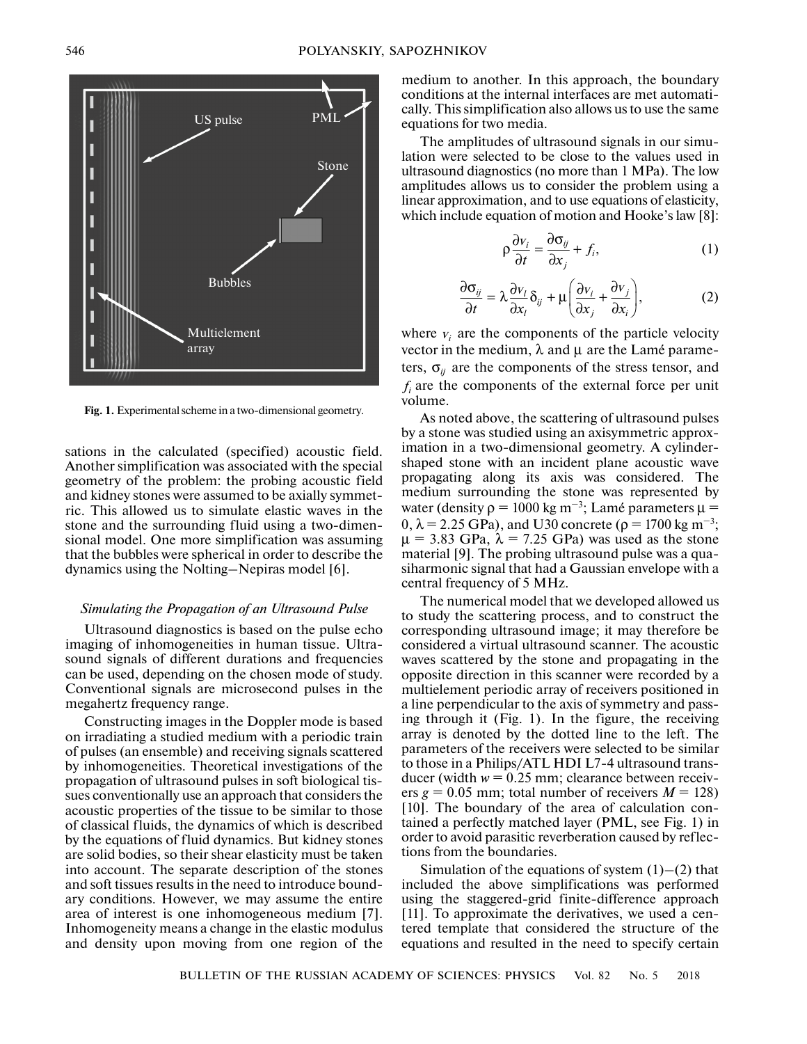

**Fig. 1.** Experimental scheme in a two-dimensional geometry.

sations in the calculated (specified) acoustic field. Another simplification was associated with the special geometry of the problem: the probing acoustic field and kidney stones were assumed to be axially symmetric. This allowed us to simulate elastic waves in the stone and the surrounding fluid using a two-dimensional model. One more simplification was assuming that the bubbles were spherical in order to describe the dynamics using the Nolting–Nepiras model [6].

## *Simulating the Propagation of an Ultrasound Pulse*

Ultrasound diagnostics is based on the pulse echo imaging of inhomogeneities in human tissue. Ultrasound signals of different durations and frequencies can be used, depending on the chosen mode of study. Conventional signals are microsecond pulses in the megahertz frequency range.

Constructing images in the Doppler mode is based on irradiating a studied medium with a periodic train of pulses (an ensemble) and receiving signals scattered by inhomogeneities. Theoretical investigations of the propagation of ultrasound pulses in soft biological tissues conventionally use an approach that considers the acoustic properties of the tissue to be similar to those of classical fluids, the dynamics of which is described by the equations of fluid dynamics. But kidney stones are solid bodies, so their shear elasticity must be taken into account. The separate description of the stones and soft tissues results in the need to introduce boundary conditions. However, we may assume the entire area of interest is one inhomogeneous medium [7]. Inhomogeneity means a change in the elastic modulus and density upon moving from one region of the medium to another. In this approach, the boundary conditions at the internal interfaces are met automatically. This simplification also allows us to use the same equations for two media.

The amplitudes of ultrasound signals in our simulation were selected to be close to the values used in ultrasound diagnostics (no more than 1 MPa). The low amplitudes allows us to consider the problem using a linear approximation, and to use equations of elasticity, which include equation of motion and Hooke's law [8]:

$$
\rho \frac{\partial v_i}{\partial t} = \frac{\partial \sigma_{ij}}{\partial x_j} + f_i,
$$
\n(1)

$$
\frac{\partial \sigma_{ij}}{\partial t} = \lambda \frac{\partial v_i}{\partial x_i} \delta_{ij} + \mu \left( \frac{\partial v_i}{\partial x_j} + \frac{\partial v_j}{\partial x_i} \right),\tag{2}
$$

where  $v_i$  are the components of the particle velocity vector in the medium,  $\lambda$  and  $\mu$  are the Lamé parameters,  $\sigma_{ij}$  are the components of the stress tensor, and  $f_i$  are the components of the external force per unit volume.

As noted above, the scattering of ultrasound pulses by a stone was studied using an axisymmetric approximation in a two-dimensional geometry. A cylindershaped stone with an incident plane acoustic wave propagating along its axis was considered. The medium surrounding the stone was represented by water (density  $\rho = 1000 \text{ kg m}^{-3}$ ; Lamé parameters  $\mu =$ 0,  $\lambda$  = 2.25 GPa), and U30 concrete ( $\rho$  = 1700 kg m<sup>-3</sup>;  $\mu$  = 3.83 GPa,  $\lambda$  = 7.25 GPa) was used as the stone material [9]. The probing ultrasound pulse was a quasiharmonic signal that had a Gaussian envelope with a central frequency of 5 MHz.

The numerical model that we developed allowed us to study the scattering process, and to construct the corresponding ultrasound image; it may therefore be considered a virtual ultrasound scanner. The acoustic waves scattered by the stone and propagating in the opposite direction in this scanner were recorded by a multielement periodic array of receivers positioned in a line perpendicular to the axis of symmetry and passing through it (Fig. 1). In the figure, the receiving array is denoted by the dotted line to the left. The parameters of the receivers were selected to be similar to those in a Philips/ATL HDI L7-4 ultrasound transducer (width  $w = 0.25$  mm; clearance between receivers  $g = 0.05$  mm; total number of receivers  $M = 128$ ) [10]. The boundary of the area of calculation contained a perfectly matched layer (PML, see Fig. 1) in order to avoid parasitic reverberation caused by reflections from the boundaries.

Simulation of the equations of system  $(1)$ – $(2)$  that included the above simplifications was performed using the staggered-grid finite-difference approach [11]. To approximate the derivatives, we used a centered template that considered the structure of the equations and resulted in the need to specify certain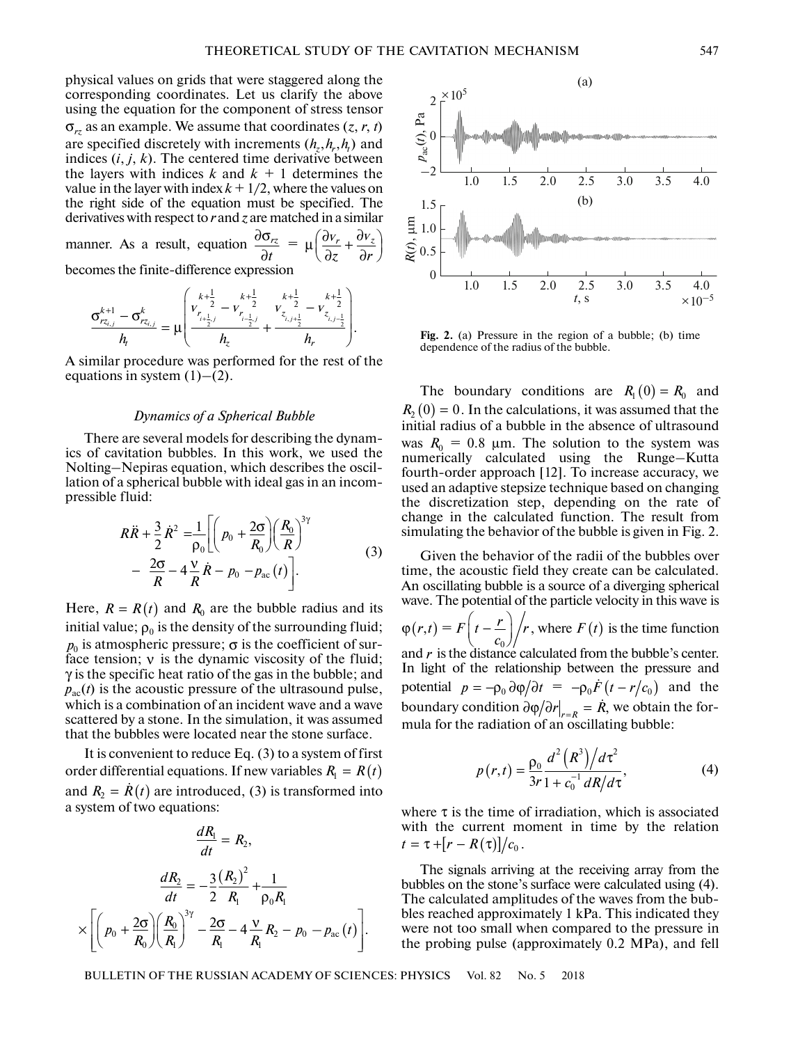physical values on grids that were staggered along the corresponding coordinates. Let us clarify the above using the equation for the component of stress tensor  $\sigma_{rz}$  as an example. We assume that coordinates  $(z, r, t)$ are specified discretely with increments  $(h_z, h_r, h_t)$  and indices  $(i, j, k)$ . The centered time derivative between the layers with indices  $k$  and  $k + 1$  determines the value in the layer with index  $k + 1/2$ , where the values on the right side of the equation must be specified. The derivatives with respect to *r* and *z* are matched in a similar  $v_r + \frac{\partial v_z}{\partial x}$ 

manner. As a result, equation  $\frac{\partial \sigma_{rz}}{\partial z}$  = ∂ *rz t*  $\mu \left( \frac{\partial v_r}{\partial z} + \frac{\partial v_z}{\partial r} \right)$ *z r*

becomes the finite-difference expression

$$
\frac{\sigma_{rz_{i,j}}^{k+1} - \sigma_{rz_{i,j}}^k}{h_t} = \mu \left( \frac{\frac{k+\frac{1}{2}}{r_{i+\frac{1}{2},j}} - \frac{k+\frac{1}{2}}{r_{i-\frac{1}{2},j}}}{h_z} + \frac{\frac{k+\frac{1}{2}}{z_{i,j+\frac{1}{2}}}}{h_r} - \frac{k+\frac{1}{2}}{z_{i,j-\frac{1}{2}}}}{\frac{k+\frac{1}{2}}{z_{i,j-\frac{1}{2}}}} \right).
$$

A similar procedure was performed for the rest of the equations in system  $(1)$ – $(2)$ .

#### *Dynamics of a Spherical Bubble*

There are several models for describing the dynamics of cavitation bubbles. In this work, we used the Nolting–Nepiras equation, which describes the oscillation of a spherical bubble with ideal gas in an incom-pressible fluid: t<br>:<br>:

$$
R\ddot{R} + \frac{3}{2}\dot{R}^{2} = \frac{1}{\rho_{0}} \left[ \left( p_{0} + \frac{2\sigma}{R_{0}} \right) \left( \frac{R_{0}}{R} \right)^{3\gamma} - \frac{2\sigma}{R} - 4\frac{V}{R}\dot{R} - p_{0} - p_{ac}(t) \right].
$$
\n(3)

Here,  $R = R(t)$  and  $R_0$  are the bubble radius and its initial value;  $\rho_0$  is the density of the surrounding fluid;  $p_0$  is atmospheric pressure;  $\sigma$  is the coefficient of surface tension;  $v$  is the dynamic viscosity of the fluid;  $\gamma$  is the specific heat ratio of the gas in the bubble; and  $p_{\text{ac}}(t)$  is the acoustic pressure of the ultrasound pulse, which is a combination of an incident wave and a wave scattered by a stone. In the simulation, it was assumed that the bubbles were located near the stone surface.

It is convenient to reduce Eq. (3) to a system of first order differential equations. If new variables  $R_1 = R(t)$ and  $R_2 = \dot{R}(t)$  are introduced, (3) is transformed into a system of two equations: s a com<br>d by a s<br>bubble<br>conven<br>fferent<br>=  $\dot{R}(t)$ 

$$
\frac{dR_1}{dt} = R_2,
$$
\n
$$
\frac{dR_2}{dt} = -\frac{3}{2} \frac{(R_2)^2}{R_1} + \frac{1}{\rho_0 R_1}
$$
\n
$$
\times \left[ \left( p_0 + \frac{2\sigma}{R_0} \right) \left( \frac{R_0}{R_1} \right)^{3\gamma} - \frac{2\sigma}{R_1} - 4 \frac{\nu}{R_1} R_2 - p_0 - p_{ac}(t) \right].
$$

The boundary conditions are  $R_1(0) = R_0$  and **Fig. 2.** (a) Pressure in the region of a bubble; (b) time dependence of the radius of the bubble.

 $R_2(0) = 0$ . In the calculations, it was assumed that the initial radius of a bubble in the absence of ultrasound was  $R_0 = 0.8$  µm. The solution to the system was numerically calculated using the Runge–Kutta fourth-order approach [12]. To increase accuracy, we used an adaptive stepsize technique based on changing the discretization step, depending on the rate of change in the calculated function. The result from simulating the behavior of the bubble is given in Fig. 2.

Given the behavior of the radii of the bubbles over time, the acoustic field they create can be calculated. An oscillating bubble is a source of a diverging spherical wave. The potential of the particle velocity in this wave is  $\varphi(r,t) = F\left(t - \frac{r}{c_0}\right) / r$ , where  $F(t)$  is the time function and  $r$  is the distance calculated from the bubble's center. In light of the relationship between the pressure and potential  $p = -\rho_0 \frac{\partial \varphi}{\partial t} = -\rho_0 \dot{F} (t - r/c_0)$  and the boundary condition  $\partial \varphi / \partial r |_{r=R} = \dot{R}$ , we obtain the formula for the radiation of an oscillating bubble:  $\int_{c_0}^{r}$  / r, where  $F(t)$ *potential of the particle velocity in the particle velocity in the distance calculated from the bubb* f the relationship between the pro $p = -\rho_0 \partial \phi / \partial t = -\rho_0 \dot{F} (t - r/c_0)$ *r*, where *F* (*t*)<br>calculated from<br>onship betwee<br> $\nu/\partial t = -\rho_0 \dot{F}$ <br> $\frac{\partial \varphi}{\partial r}\Big|_{r=R} = \dot{R}$ 

$$
p(r,t) = \frac{\rho_0}{3r} \frac{d^2 (R^3)/d\tau^2}{1 + c_0^{-1} dR/d\tau},
$$
 (4)

where  $\tau$  is the time of irradiation, which is associated with the current moment in time by the relation  $t = \tau + [r - R(\tau)]/c_0$ .

The signals arriving at the receiving array from the bubbles on the stone's surface were calculated using (4). The calculated amplitudes of the waves from the bubbles reached approximately 1 kPa. This indicated they were not too small when compared to the pressure in the probing pulse (approximately 0.2 MPa), and fell

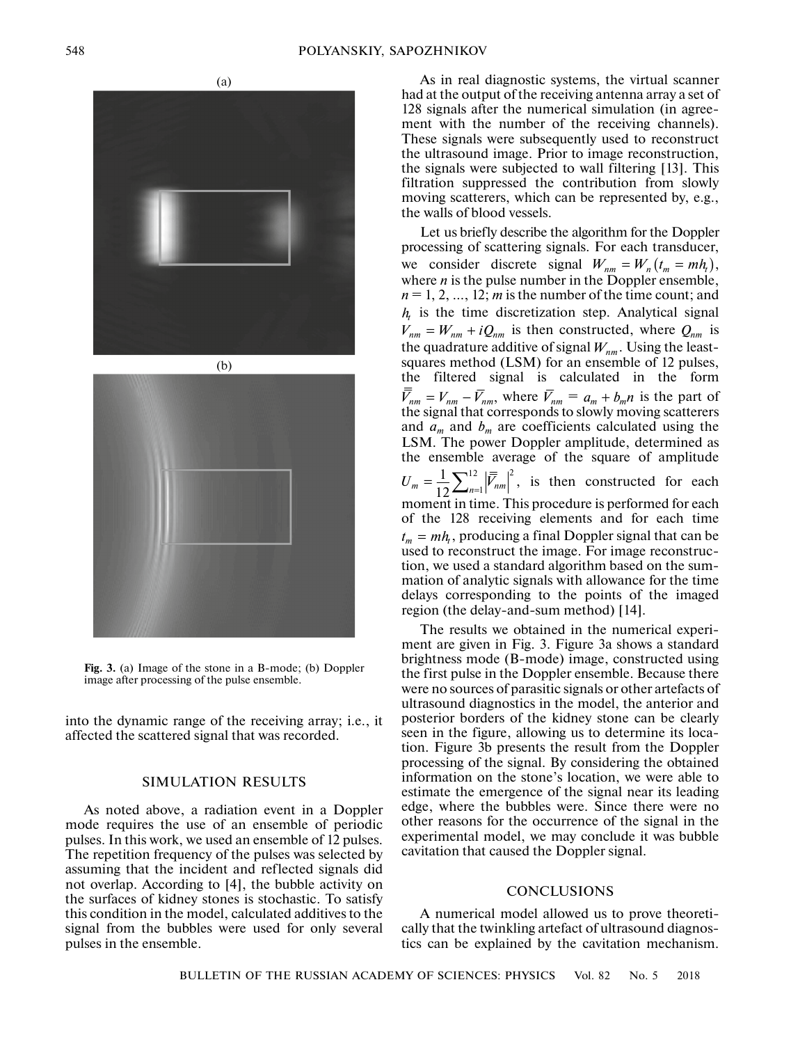(a)





**Fig. 3.** (a) Image of the stone in a B-mode; (b) Doppler image after processing of the pulse ensemble.

into the dynamic range of the receiving array; i.e., it affected the scattered signal that was recorded.

## SIMULATION RESULTS

As noted above, a radiation event in a Doppler mode requires the use of an ensemble of periodic pulses. In this work, we used an ensemble of 12 pulses. The repetition frequency of the pulses was selected by assuming that the incident and reflected signals did not overlap. According to [4], the bubble activity on the surfaces of kidney stones is stochastic. To satisfy this condition in the model, calculated additives to the signal from the bubbles were used for only several pulses in the ensemble.

As in real diagnostic systems, the virtual scanner had at the output of the receiving antenna array a set of 128 signals after the numerical simulation (in agreement with the number of the receiving channels). These signals were subsequently used to reconstruct the ultrasound image. Prior to image reconstruction, the signals were subjected to wall filtering [13]. This filtration suppressed the contribution from slowly moving scatterers, which can be represented by, e.g., the walls of blood vessels.

Let us briefly describe the algorithm for the Doppler processing of scattering signals. For each transducer, we consider discrete signal  $W_{nm} = W_n (t_m = mh_t),$ where *n* is the pulse number in the Doppler ensemble,  $n = 1, 2, \dots, 12$ ; *m* is the number of the time count; and  $h<sub>t</sub>$  is the time discretization step. Analytical signal  $V_{nm} = W_{nm} + iQ_{nm}$  is then constructed, where  $Q_{nm}$  is the quadrature additive of signal  $W_{nm}$ . Using the leastsquares method (LSM) for an ensemble of 12 pulses, the filtered signal is calculated in the form where  $\bar{V}_{nm} = a_m + b_m n$  is the part of the signal that corresponds to slowly moving scatterers and  $a_m$  and  $b_m$  are coefficients calculated using the LSM. The power Doppler amplitude, determined as the ensemble average of the square of amplitude  $=\frac{1}{12}\sum_{n=1}^{12} |\overline{\overline{F}}_{nm}|^2$ , is then constructed for each moment in time. This procedure is performed for each of the 128 receiving elements and for each time  $t_m = mh_t$ , producing a final Doppler signal that can be used to reconstruct the image. For image reconstruction, we used a standard algorithm based on the summation of analytic signals with allowance for the time delays corresponding to the points of the imaged region (the delay-and-sum method) [14].  $\overline{V}_{nm} = V_{nm} - \overline{V}_{nm}$ , where  $\overline{V}_{nm} = a_m + b_m n$  $U_m = \frac{1}{12} \sum_{n=1}^{12} |\overline{\overline{V}}_{nm}|$ 

The results we obtained in the numerical experiment are given in Fig. 3. Figure 3a shows a standard brightness mode (B-mode) image, constructed using the first pulse in the Doppler ensemble. Because there were no sources of parasitic signals or other artefacts of ultrasound diagnostics in the model, the anterior and posterior borders of the kidney stone can be clearly seen in the figure, allowing us to determine its location. Figure 3b presents the result from the Doppler processing of the signal. By considering the obtained information on the stone's location, we were able to estimate the emergence of the signal near its leading edge, where the bubbles were. Since there were no other reasons for the occurrence of the signal in the experimental model, we may conclude it was bubble cavitation that caused the Doppler signal.

#### **CONCLUSIONS**

A numerical model allowed us to prove theoretically that the twinkling artefact of ultrasound diagnostics can be explained by the cavitation mechanism.